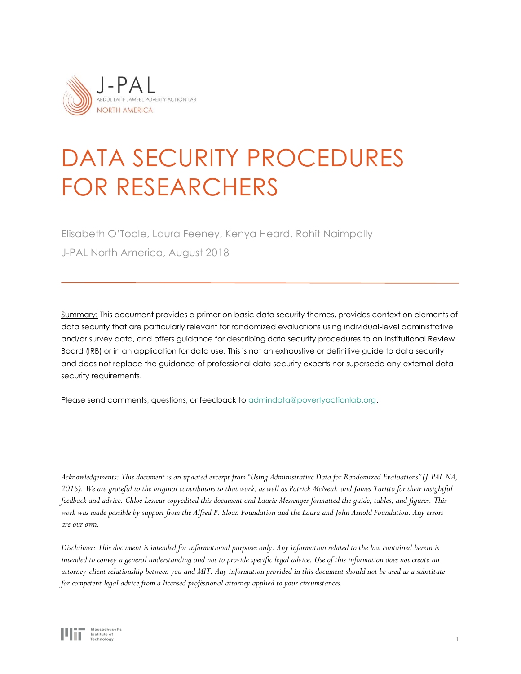

# DATA SECURITY PROCEDURES FOR RESEARCHERS

Elisabeth O'Toole, Laura Feeney, Kenya Heard, Rohit Naimpally J-PAL North America, August 2018

Summary: This document provides a primer on basic data security themes, provides context on elements of data security that are particularly relevant for randomized evaluations using individual-level administrative and/or survey data, and offers guidance for describing data security procedures to an Institutional Review Board (IRB) or in an application for data use. This is not an exhaustive or definitive guide to data security and does not replace the guidance of professional data security experts nor supersede any external data security requirements.

Please send comments, questions, or feedback to [admindata@povertyactionlab.org.](mailto:admindata@povertyactionlab.org)

*Acknowledgements: This document is an updated excerpt from "Using Administrative Data for Randomized Evaluations" (J-PAL NA, 2015). We are grateful to the original contributors to that work, as well as Patrick McNeal, and James Turitto for their insightful feedback and advice. Chloe Lesieur copyedited this document and Laurie Messenger formatted the guide, tables, and figures. This work was made possible by support from the Alfred P. Sloan Foundation and the Laura and John Arnold Foundation. Any errors are our own.* 

*Disclaimer: This document is intended for informational purposes only. Any information related to the law contained herein is intended to convey a general understanding and not to provide specific legal advice. Use of this information does not create an attorney-client relationship between you and MIT. Any information provided in this document should not be used as a substitute for competent legal advice from a licensed professional attorney applied to your circumstances.*

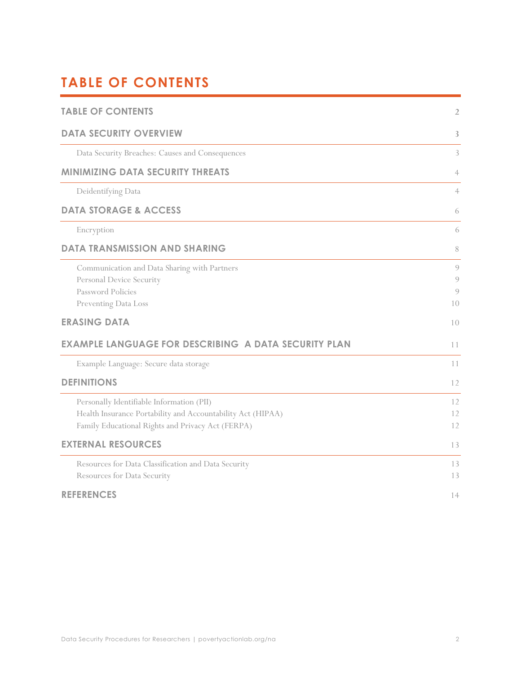# <span id="page-1-0"></span>**TABLE OF CONTENTS**

<span id="page-1-1"></span>

| <b>TABLE OF CONTENTS</b>                                                                                                                                      | $\overline{2}$                |
|---------------------------------------------------------------------------------------------------------------------------------------------------------------|-------------------------------|
| <b>DATA SECURITY OVERVIEW</b>                                                                                                                                 | 3                             |
| Data Security Breaches: Causes and Consequences                                                                                                               | 3                             |
| <b>MINIMIZING DATA SECURITY THREATS</b>                                                                                                                       | $\overline{4}$                |
| Deidentifying Data                                                                                                                                            | $\overline{4}$                |
| <b>DATA STORAGE &amp; ACCESS</b>                                                                                                                              | 6                             |
| Encryption                                                                                                                                                    | 6                             |
| <b>DATA TRANSMISSION AND SHARING</b>                                                                                                                          | 8                             |
| Communication and Data Sharing with Partners<br>Personal Device Security<br>Password Policies<br>Preventing Data Loss                                         | 9<br>9<br>$\mathcal{Q}$<br>10 |
| <b>ERASING DATA</b>                                                                                                                                           | 10                            |
| <b>EXAMPLE LANGUAGE FOR DESCRIBING A DATA SECURITY PLAN</b>                                                                                                   | 11                            |
| Example Language: Secure data storage                                                                                                                         | 11                            |
| <b>DEFINITIONS</b>                                                                                                                                            | 12                            |
| Personally Identifiable Information (PII)<br>Health Insurance Portability and Accountability Act (HIPAA)<br>Family Educational Rights and Privacy Act (FERPA) | 12<br>12<br>12                |
| <b>EXTERNAL RESOURCES</b>                                                                                                                                     | 13                            |
| Resources for Data Classification and Data Security<br>Resources for Data Security                                                                            | 13<br>13                      |
| <b>REFERENCES</b>                                                                                                                                             | 14                            |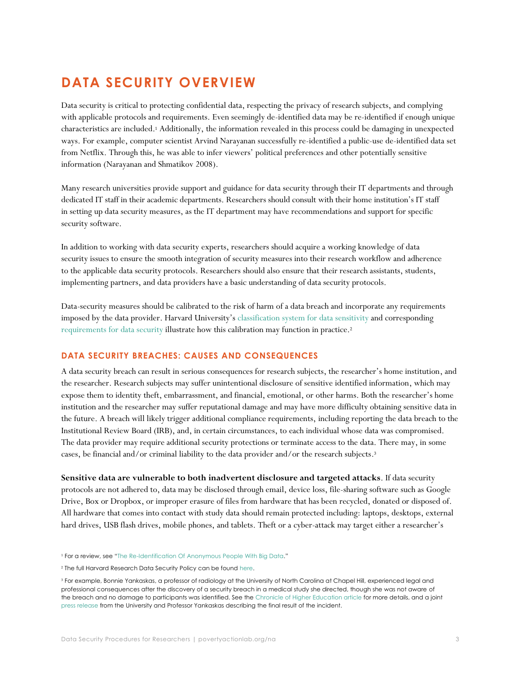# **DATA SECURITY OVERVIEW**

Data security is critical to protecting confidential data, respecting the privacy of research subjects, and complying with applicable protocols and requirements. Even seemingly de-identified data may be re-identified if enough unique characteristics are included. <sup>1</sup> Additionally, the information revealed in this process could be damaging in unexpected ways. For example, computer scientist Arvind Narayanan successfully re-identified a public-use de-identified data set from Netflix. Through this, he was able to infer viewers' political preferences and other potentially sensitive information (Narayanan and Shmatikov 2008).

Many research universities provide support and guidance for data security through their IT departments and through dedicated IT staff in their academic departments. Researchers should consult with their home institution's IT staff in setting up data security measures, as the IT department may have recommendations and support for specific security software.

In addition to working with data security experts, researchers should acquire a working knowledge of data security issues to ensure the smooth integration of security measures into their research workflow and adherence to the applicable data security protocols. Researchers should also ensure that their research assistants, students, implementing partners, and data providers have a basic understanding of data security protocols.

Data-security measures should be calibrated to the risk of harm of a data breach and incorporate any requirements imposed by the data provider. Harvard University's [classification system for data sensitivity](http://files.vpr.harvard.edu/files/vpr-documents/files/data_classification_table_abridged_7.23.13_0.pdf) and corresponding [requirements for data security](http://policy.security.harvard.edu/view-data-security-level) illustrate how this calibration may function in practice.<sup>2</sup>

### <span id="page-2-0"></span>**DATA SECURITY BREACHES: CAUSES AND CONSEQUENCES**

A data security breach can result in serious consequences for research subjects, the researcher's home institution, and the researcher. Research subjects may suffer unintentional disclosure of sensitive identified information, which may expose them to identity theft, embarrassment, and financial, emotional, or other harms. Both the researcher's home institution and the researcher may suffer reputational damage and may have more difficulty obtaining sensitive data in the future. A breach will likely trigger additional compliance requirements, including reporting the data breach to the Institutional Review Board (IRB), and, in certain circumstances, to each individual whose data was compromised. The data provider may require additional security protections or terminate access to the data. There may, in some cases, be financial and/or criminal liability to the data provider and/or the research subjects.<sup>3</sup>

**Sensitive data are vulnerable to both inadvertent disclosure and targeted attacks**. If data security protocols are not adhered to, data may be disclosed through email, device loss, file-sharing software such as Google Drive, Box or Dropbox, or improper erasure of files from hardware that has been recycled, donated or disposed of. All hardware that comes into contact with study data should remain protected including: laptops, desktops, external hard drives, USB flash drives, mobile phones, and tablets. Theft or a cyber-attack may target either a researcher's

<sup>1</sup> For a review, see "[The Re-Identification Of Anonymous People With Big Data](https://datafloq.com/read/re-identifying-anonymous-people-with-big-data/228)."

<sup>&</sup>lt;sup>2</sup> The full Harvard Research Data Security Policy can be found [here.](http://vpr.harvard.edu/pages/harvard-research-data-security-policy)

<sup>&</sup>lt;sup>3</sup> For example, Bonnie Yankaskas, a professor of radiology at the University of North Carolina at Chapel Hill, experienced legal and professional consequences after the discovery of a security breach in a medical study she directed, though she was not aware of the breach and no damage to participants was identified. See the [Chronicle of Higher Education article](http://chronicle.com/article/UNC-Chapel-Hill-Researcher/124821/) for more details, and a joint [press release](http://uncnewsarchive.unc.edu/2011/04/15/unc-chapel-hill-professor-yankaskas-reach-settlement-2/) from the University and Professor Yankaskas describing the final result of the incident.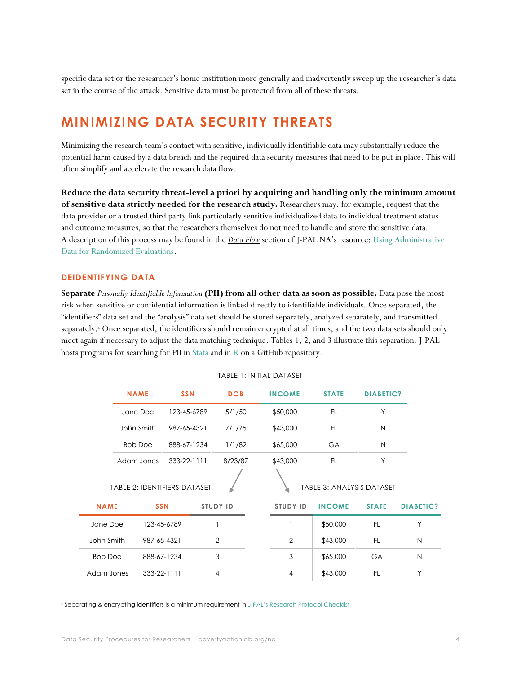specific data set or the researcher's home institution more generally and inadvertently sweep up the researcher's data set in the course of the attack. Sensitive data must be protected from all of these threats.

## <span id="page-3-0"></span>**MINIMIZING DATA SECURITY THREATS**

Minimizing the research team's contact with sensitive, individually identifiable data may substantially reduce the potential harm caused by a data breach and the required data security measures that need to be put in place. This will often simplify and accelerate the research data flow.

**Reduce the data security threat-level a priori by acquiring and handling only the minimum amount of sensitive data strictly needed for the research study.** Researchers may, for example, request that the data provider or a trusted third party link particularly sensitive individualized data to individual treatment status and outcome measures, so that the researchers themselves do not need to handle and store the sensitive data. A description of this process may be found in the *Data Flow* section of J-PAL NA's resource: Using [Administrative](https://www.povertyactionlab.org/sites/default/files/resources/2017.02.07-Admin-Data-Guide.pdf)  Data [for Randomized Evaluations.](https://www.povertyactionlab.org/sites/default/files/resources/2017.02.07-Admin-Data-Guide.pdf)

### <span id="page-3-1"></span>**DEIDENTIFYING DATA**

**Separate** *[Personally Identifiable Information](#page-11-1)* **(PII) from all other data as soon as possible.** Data pose the most risk when sensitive or confidential information is linked directly to identifiable individuals. Once separated, the "identifiers" data set and the "analysis" data set should be stored separately, analyzed separately, and transmitted separately.<sup>4</sup> Once separated, the identifiers should remain encrypted at all times, and the two data sets should only meet again if necessary to adjust the data matching technique. Tables 1, 2, and 3 illustrate this separation. J-PAL hosts programs for searching for PII in [Stata](https://github.com/J-PAL/stata_PII_scan) and in [R](https://github.com/J-PAL/PII-Scan) on a GitHub repository.

|                                                           | <b>NAME</b>               | <b>SSN</b>        |             | <b>DOB</b>      |  | <b>INCOME</b>   | <b>STATE</b>  | <b>DIABETIC?</b> |                  |
|-----------------------------------------------------------|---------------------------|-------------------|-------------|-----------------|--|-----------------|---------------|------------------|------------------|
|                                                           | Jane Doe<br>123-45-6789   |                   |             | 5/1/50          |  | \$50,000        | FL.           | Υ                |                  |
|                                                           | John Smith<br>987-65-4321 |                   |             | 7/1/75          |  | \$43,000        | <b>FL</b>     | N                |                  |
|                                                           | <b>Bob Doe</b>            |                   | 888-67-1234 | 1/1/82          |  | \$65,000        | <b>GA</b>     | N                |                  |
|                                                           | Adam Jones                | 333-22-1111       |             | 8/23/87         |  | \$43,000        | <b>FL</b>     | Υ                |                  |
| TABLE 2: IDENTIFIERS DATASET<br>TABLE 3: ANALYSIS DATASET |                           |                   |             |                 |  |                 |               |                  |                  |
| <b>NAME</b>                                               |                           | <b>SSN</b>        |             | <b>STUDY ID</b> |  | <b>STUDY ID</b> | <b>INCOME</b> | <b>STATE</b>     | <b>DIABETIC?</b> |
| Jane Doe                                                  |                           | 123-45-6789       |             |                 |  |                 | \$50,000      | FL.              | Y                |
| John Smith                                                |                           | 987-65-4321       |             | $\overline{2}$  |  | $\overline{2}$  | \$43,000      | FL.              | N                |
| <b>Bob Doe</b>                                            |                           | 888-67-1234       |             | 3               |  | 3               | \$65,000      | <b>GA</b>        | N                |
| Adam Jones                                                |                           | $333 - 22 - 1111$ |             | $\overline{4}$  |  | $\overline{4}$  | \$43,000      | FL.              | Υ                |

#### TABLE 1: INITIAL DATASET

<sup>4</sup> Separating & encrypting identifiers is a minimum requirement in J-[PAL's Research Protocol Checklist](https://drive.google.com/file/d/0B97AuBEZpZ9zZDZZbV9abllqSFk/view)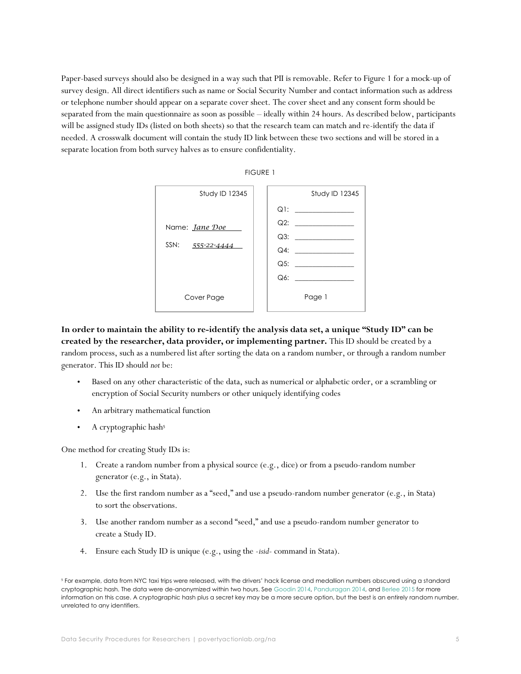Paper-based surveys should also be designed in a way such that PII is removable. Refer to Figure 1 for a mock-up of survey design. All direct identifiers such as name or Social Security Number and contact information such as address or telephone number should appear on a separate cover sheet. The cover sheet and any consent form should be separated from the main questionnaire as soon as possible – ideally within 24 hours. As described below, participants will be assigned study IDs (listed on both sheets) so that the research team can match and re-identify the data if needed. A crosswalk document will contain the study ID link between these two sections and will be stored in a separate location from both survey halves as to ensure confidentiality.



FIGURE 1

**In order to maintain the ability to re-identify the analysis data set, a unique "Study ID" can be created by the researcher, data provider, or implementing partner.** This ID should be created by a random process, such as a numbered list after sorting the data on a random number, or through a random number generator. This ID should *not* be:

- Based on any other characteristic of the data, such as numerical or alphabetic order, or a scrambling or encryption of Social Security numbers or other uniquely identifying codes
- An arbitrary mathematical function
- A cryptographic hash<sup>5</sup>

One method for creating Study IDs is:

- 1. Create a random number from a physical source (e.g., dice) or from a pseudo-random number generator (e.g., in Stata).
- 2. Use the first random number as a "seed," and use a pseudo-random number generator (e.g., in Stata) to sort the observations.
- 3. Use another random number as a second "seed," and use a pseudo-random number generator to create a Study ID.
- 4. Ensure each Study ID is unique (e.g., using the -*isid-* command in Stata).

<sup>5</sup> For example, data from NYC taxi trips were released, with the drivers' hack license and medallion numbers obscured using a standard cryptographic hash. The data were de-anonymized within two hours. See [Goodin 2014,](http://arstechnica.com/tech-policy/2014/06/poorly-anonymized-logs-reveal-nyc-cab-drivers-detailed-whereabouts/) [Panduragan 2014,](https://medium.com/@vijayp/of-taxis-and-rainbows-f6bc289679a1) an[d Berlee 2015](http://theiii.org/index.php/997/using-nyc-taxi-data-to-identify-muslim-taxi-drivers/) for more information on this case. A cryptographic hash plus a secret key may be a more secure option, but the best is an entirely random number, unrelated to any identifiers.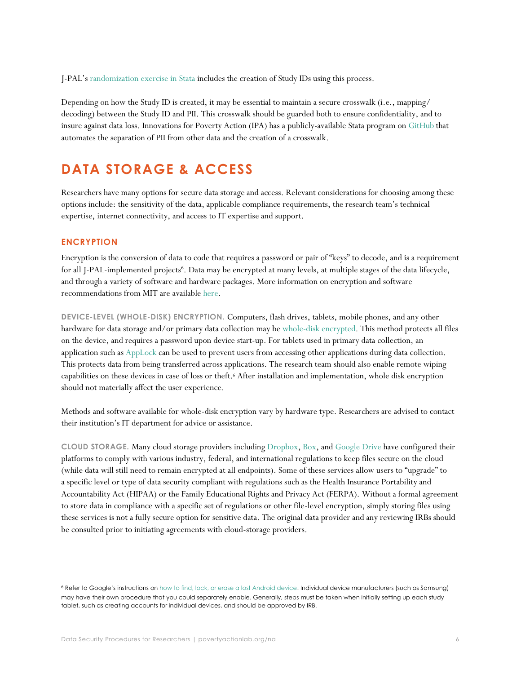J-PAL's [randomization exercise in](https://www.povertyactionlab.org/file/simple-guide-randomization-statazip) Stata includes the creation of Study IDs using this process.

Depending on how the Study ID is created, it may be essential to maintain a secure crosswalk (i.e., mapping/ decoding) between the Study ID and PII. This crosswalk should be guarded both to ensure confidentiality, and to insure against data loss. Innovations for Poverty Action (IPA) has a publicly-available Stata program on [GitHub](https://github.com/PovertyAction/split_pii) that automates the separation of PII from other data and the creation of a crosswalk.

# <span id="page-5-0"></span>**DATA STORAGE & ACCESS**

Researchers have many options for secure data storage and access. Relevant considerations for choosing among these options include: the sensitivity of the data, applicable compliance requirements, the research team's technical expertise, internet connectivity, and access to IT expertise and support.

### <span id="page-5-1"></span>**ENCRYPTION**

Encryption is the conversion of data to code that requires a password or pair of "keys" to decode, and is a requirement for all J-PAL-implemented projects<sup>6</sup>. Data may be encrypted at many levels, at multiple stages of the data lifecycle, and through a variety of software and hardware packages. More information on encryption and software recommendations from MIT are available [here.](http://kb.mit.edu/confluence/x/HZIBCQ)

**DEVICE-LEVEL (WHOLE-DISK) ENCRYPTION.** Computers, flash drives, tablets, mobile phones, and any other hardware for data storage and/or primary data collection may be [whole-disk encrypted.](http://kb.mit.edu/confluence/x/g4Vh) This method protects all files on the device, and requires a password upon device start-up. For tablets used in primary data collection, an application such a[s AppLock](https://play.google.com/store/apps/details?referrer=utm_source%3Dofficial&id=com.domobile.applock) can be used to prevent users from accessing other applications during data collection. This protects data from being transferred across applications. The research team should also enable remote wiping capabilities on these devices in case of loss or theft.<sup>6</sup> After installation and implementation, whole disk encryption should not materially affect the user experience.

Methods and software available for whole-disk encryption vary by hardware type. Researchers are advised to contact their institution's IT department for advice or assistance.

<span id="page-5-2"></span>**CLOUD STORAGE.** Many cloud storage providers including [Dropbox,](https://www.dropbox.com/business/trust/compliance/certifications-compliance) [Box,](https://www.box.com/legal/compliance) and [Google Drive](https://support.google.com/googlecloud/answer/6056694?hl=en) have configured their platforms to comply with various industry, federal, and international regulations to keep files secure on the cloud (while data will still need to remain encrypted at all endpoints). Some of these services allow users to "upgrade" to a specific level or type of data security compliant with regulations such as the Health Insurance Portability and Accountability Act (HIPAA) or the Family Educational Rights and Privacy Act (FERPA). Without a formal agreement to store data in compliance with a specific set of regulations or other file-level encryption, simply storing files using these services is not a fully secure option for sensitive data. The original data provider and any reviewing IRBs should be consulted prior to initiating agreements with cloud-storage providers.

<sup>6</sup> Refer to Google's instructions on [how to find, lock, or erase a lost Android device.](https://support.google.com/accounts/answer/6160491) Individual device manufacturers (such as Samsung) may have their own procedure that you could separately enable. Generally, steps must be taken when initially setting up each study tablet, such as creating accounts for individual devices, and should be approved by IRB.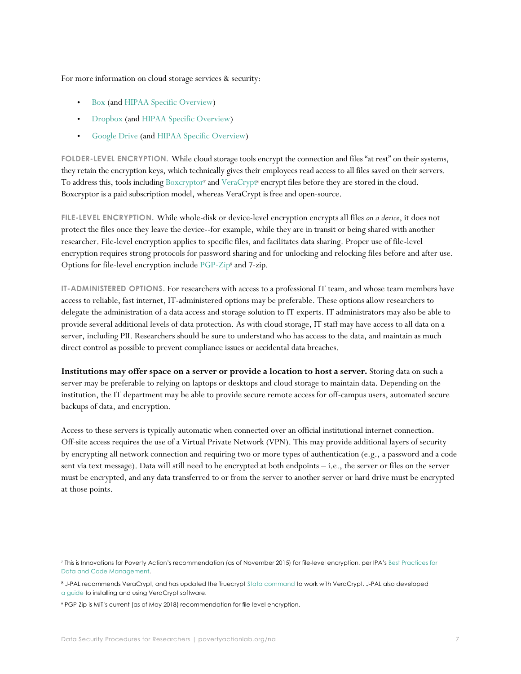For more information on cloud storage services & security:

- [Box](https://cloud.app.box.com/v/SecurityeBook) (and [HIPAA Specific Overview\)](https://community.box.com/t5/How-to-Guides-for-Account/Box-HIPAA-and-HITECH-Overview-and-FAQs/ta-p/16)
- [Dropbox](https://www.dropbox.com/help/security/standards-regulations) (an[d HIPAA Specific Overview\)](https://www.dropbox.com/static/business/resources/getting_started_with_hipaa.pdf)
- [Google Drive](https://gsuite.google.com/security/?secure-by-design_activeEl=data-centers) (an[d HIPAA Specific Overview\)](https://support.google.com/a/answer/3407054)

**FOLDER-LEVEL ENCRYPTION.** While cloud storage tools encrypt the connection and files "at rest" on their systems, they retain the encryption keys, which technically gives their employees read access to all files saved on their servers. To address this, tools including [Boxcryptor](https://www.boxcryptor.com/en)<sup>7</sup> an[d VeraCrypt](https://www.veracrypt.fr/en/Introduction.html)<sup>8</sup> encrypt files before they are stored in the cloud. Boxcryptor is a paid subscription model, whereas VeraCrypt is free and open-source.

**FILE-LEVEL ENCRYPTION.** While whole-disk or device-level encryption encrypts all files *on a device*, it does not protect the files once they leave the device--for example, while they are in transit or being shared with another researcher. File-level encryption applies to specific files, and facilitates data sharing. Proper use of file-level encryption requires strong protocols for password sharing and for unlocking and relocking files before and after use. Options for file-level encryption include [PGP-Zip](http://www.symantec.com/connect/blogs/symantec-encryption-desktop-howto-pgp-zip)<sup>9</sup> and 7-zip.

**IT-ADMINISTERED OPTIONS.** For researchers with access to a professional IT team, and whose team members have access to reliable, fast internet, IT-administered options may be preferable. These options allow researchers to delegate the administration of a data access and storage solution to IT experts. IT administrators may also be able to provide several additional levels of data protection. As with cloud storage, IT staff may have access to all data on a server, including PII. Researchers should be sure to understand who has access to the data, and maintain as much direct control as possible to prevent compliance issues or accidental data breaches.

**Institutions may offer space on a server or provide a location to host a server.** Storing data on such a server may be preferable to relying on laptops or desktops and cloud storage to maintain data. Depending on the institution, the IT department may be able to provide secure remote access for off-campus users, automated secure backups of data, and encryption.

Access to these servers is typically automatic when connected over an official institutional internet connection. Off-site access requires the use of a Virtual Private Network (VPN). This may provide additional layers of security by encrypting all network connection and requiring two or more types of authentication (e.g., a password and a code sent via text message). Data will still need to be encrypted at both endpoints – i.e., the server or files on the server must be encrypted, and any data transferred to or from the server to another server or hard drive must be encrypted at those points.

<sup>7</sup> This is Innovations for Poverty Action's recommendation (as of November 2015) for file-level encryption, per IPA's [Best Practices for](https://www.poverty-action.org/sites/default/files/publications/IPA%27s%20Best%20Practices%20for%20Data%20and%20Code%20Management_Nov2015.pdf)  [Data and Code Management.](https://www.poverty-action.org/sites/default/files/publications/IPA%27s%20Best%20Practices%20for%20Data%20and%20Code%20Management_Nov2015.pdf)

<sup>8</sup> J-PAL recommends VeraCrypt, and has updated the Truecrypt [Stata command](https://www.veracrypt.fr/en/Downloads.html) to work with VeraCrypt. J-PAL also developed [a guide](https://www.povertyactionlab.org/sites/default/files/A%20guide-to-VeraCrypt-Installation-and-Demo_Sep-2016.pdf) to installing and using VeraCrypt software.

<sup>9</sup> PGP-Zip is MIT's current (as of May 2018) recommendation for file-level encryption.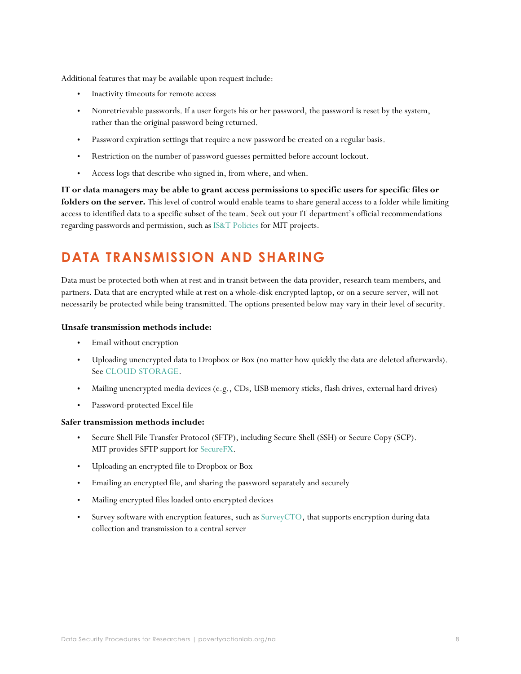Additional features that may be available upon request include:

- Inactivity timeouts for remote access
- Nonretrievable passwords. If a user forgets his or her password, the password is reset by the system, rather than the original password being returned.
- Password expiration settings that require a new password be created on a regular basis.
- Restriction on the number of password guesses permitted before account lockout.
- Access logs that describe who signed in, from where, and when.

**IT or data managers may be able to grant access permissions to specific users for specific files or folders on the server.** This level of control would enable teams to share general access to a folder while limiting access to identified data to a specific subset of the team. Seek out your IT department's official recommendations regarding passwords and permission, such as [IS&T Policies](https://ist.mit.edu/about/policies/passwords) for MIT projects.

# <span id="page-7-0"></span>**DATA TRANSMISSION AND SHARING**

Data must be protected both when at rest and in transit between the data provider, research team members, and partners. Data that are encrypted while at rest on a whole-disk encrypted laptop, or on a secure server, will not necessarily be protected while being transmitted. The options presented below may vary in their level of security.

### **Unsafe transmission methods include:**

- Email without encryption
- Uploading unencrypted data to Dropbox or Box (no matter how quickly the data are deleted afterwards). See [CLOUD STORAGE.](#page-5-2)
- Mailing unencrypted media devices (e.g., CDs, USB memory sticks, flash drives, external hard drives)
- Password-protected Excel file

### **Safer transmission methods include:**

- Secure Shell File Transfer Protocol (SFTP), including Secure Shell (SSH) or Secure Copy (SCP). MIT provides SFTP support fo[r SecureFX.](http://kb.mit.edu/confluence/display/istcontrib/SecureFX++at+MIT+-+Quick+Start+Guide)
- Uploading an encrypted file to Dropbox or Box
- Emailing an encrypted file, and sharing the password separately and securely
- Mailing encrypted files loaded onto encrypted devices
- <span id="page-7-1"></span>Survey software with encryption features, such as [SurveyCTO,](https://www.surveycto.com/product/index.html) that supports encryption during data collection and transmission to a central server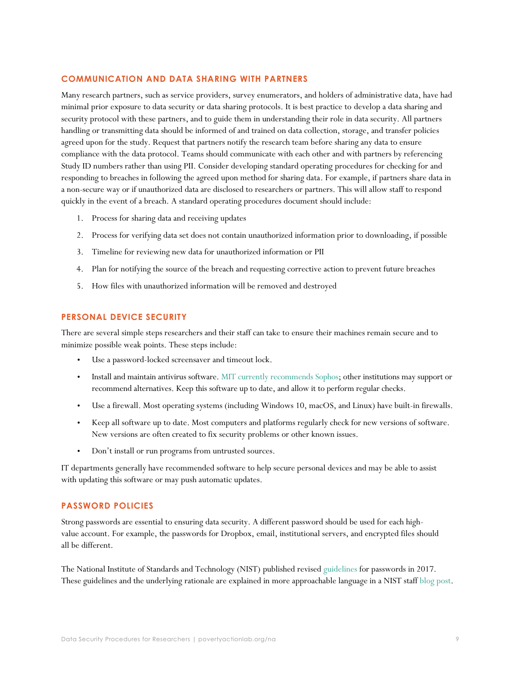### **COMMUNICATION AND DATA SHARING WITH PARTNERS**

Many research partners, such as service providers, survey enumerators, and holders of administrative data, have had minimal prior exposure to data security or data sharing protocols. It is best practice to develop a data sharing and security protocol with these partners, and to guide them in understanding their role in data security. All partners handling or transmitting data should be informed of and trained on data collection, storage, and transfer policies agreed upon for the study. Request that partners notify the research team before sharing any data to ensure compliance with the data protocol. Teams should communicate with each other and with partners by referencing Study ID numbers rather than using PII. Consider developing standard operating procedures for checking for and responding to breaches in following the agreed upon method for sharing data. For example, if partners share data in a non-secure way or if unauthorized data are disclosed to researchers or partners. This will allow staff to respond quickly in the event of a breach. A standard operating procedures document should include:

- 1. Process for sharing data and receiving updates
- 2. Process for verifying data set does not contain unauthorized information prior to downloading, if possible
- 3. Timeline for reviewing new data for unauthorized information or PII
- 4. Plan for notifying the source of the breach and requesting corrective action to prevent future breaches
- 5. How files with unauthorized information will be removed and destroyed

### <span id="page-8-0"></span>**PERSONAL DEVICE SECURITY**

There are several simple steps researchers and their staff can take to ensure their machines remain secure and to minimize possible weak points. These steps include:

- Use a password-locked screensaver and timeout lock.
- Install and maintain antivirus software. [MIT currently recommends Sophos;](http://kb.mit.edu/confluence/display/istcontrib/Virus+Protection+at+MIT+-+Virus+Protection+Tips) other institutions may support or recommend alternatives. Keep this software up to date, and allow it to perform regular checks.
- Use a firewall. Most operating systems (including Windows 10, macOS, and Linux) have built-in firewalls.
- Keep all software up to date. Most computers and platforms regularly check for new versions of software. New versions are often created to fix security problems or other known issues.
- Don't install or run programs from untrusted sources.

IT departments generally have recommended software to help secure personal devices and may be able to assist with updating this software or may push automatic updates.

### <span id="page-8-1"></span>**PASSWORD POLICIES**

Strong passwords are essential to ensuring data security. A different password should be used for each highvalue account. For example, the passwords for Dropbox, email, institutional servers, and encrypted files should all be different.

The National Institute of Standards and Technology (NIST) published revised [guidelines](https://pages.nist.gov/800-63-3/sp800-63b.html#memsecretver) for passwords in 2017. These guidelines and the underlying rationale are explained in more approachable language in a NIST staff [blog post.](https://www.nist.gov/blogs/taking-measure/easy-ways-build-better-p5w0rd)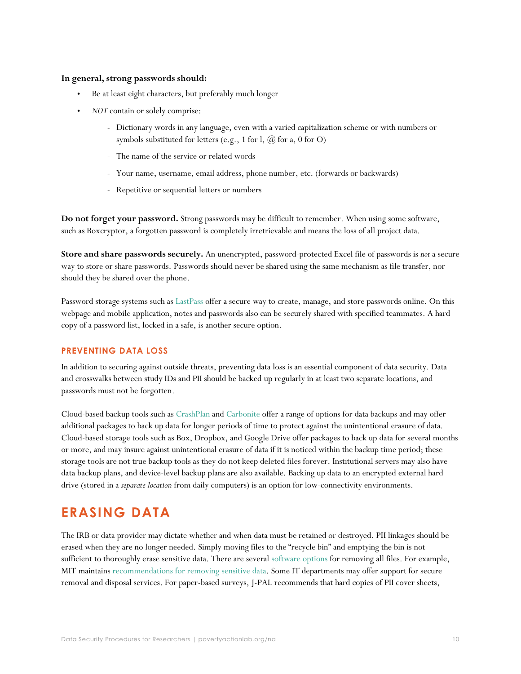### **In general, strong passwords should:**

- Be at least eight characters, but preferably much longer
- *NOT* contain or solely comprise:
	- Dictionary words in any language, even with a varied capitalization scheme or with numbers or symbols substituted for letters (e.g., 1 for l, @ for a, 0 for O)
	- The name of the service or related words
	- Your name, username, email address, phone number, etc. (forwards or backwards)
	- Repetitive or sequential letters or numbers

**Do not forget your password.** Strong passwords may be difficult to remember. When using some software, such as Boxcryptor, a forgotten password is completely irretrievable and means the loss of all project data.

**Store and share passwords securely.** An unencrypted, password-protected Excel file of passwords is *not* a secure way to store or share passwords. Passwords should never be shared using the same mechanism as file transfer, nor should they be shared over the phone.

Password storage systems such as [LastPass](https://lastpass.com/) offer a secure way to create, manage, and store passwords online. On this webpage and mobile application, notes and passwords also can be securely shared with specified teammates. A hard copy of a password list, locked in a safe, is another secure option.

### <span id="page-9-0"></span>**PREVENTING DATA LOSS**

In addition to securing against outside threats, preventing data loss is an essential component of data security. Data and crosswalks between study IDs and PII should be backed up regularly in at least two separate locations, and passwords must not be forgotten.

Cloud-based backup tools such as [CrashPlan](https://www.crashplan.com/en-us/) and [Carbonite](https://www.carbonite.com/) offer a range of options for data backups and may offer additional packages to back up data for longer periods of time to protect against the unintentional erasure of data. Cloud-based storage tools such as Box, Dropbox, and Google Drive offer packages to back up data for several months or more, and may insure against unintentional erasure of data if it is noticed within the backup time period; these storage tools are not true backup tools as they do not keep deleted files forever. Institutional servers may also have data backup plans, and device-level backup plans are also available. Backing up data to an encrypted external hard drive (stored in a *separate location* from daily computers) is an option for low-connectivity environments.

### <span id="page-9-1"></span>**ERASING DATA**

The IRB or data provider may dictate whether and when data must be retained or destroyed. PII linkages should be erased when they are no longer needed. Simply moving files to the "recycle bin" and emptying the bin is not sufficient to thoroughly erase sensitive data. There are several [software options](http://kb.mit.edu/confluence/display/istcontrib/Removing+Sensitive+Data#RemovingSensitiveData-SoftwareOptions) for removing all files. For example, MIT maintains [recommendations for removing sensitive data.](http://kb.mit.edu/confluence/display/istcontrib/Removing+Sensitive+Data) Some IT departments may offer support for secure removal and disposal services. For paper-based surveys, J-PAL recommends that hard copies of PII cover sheets,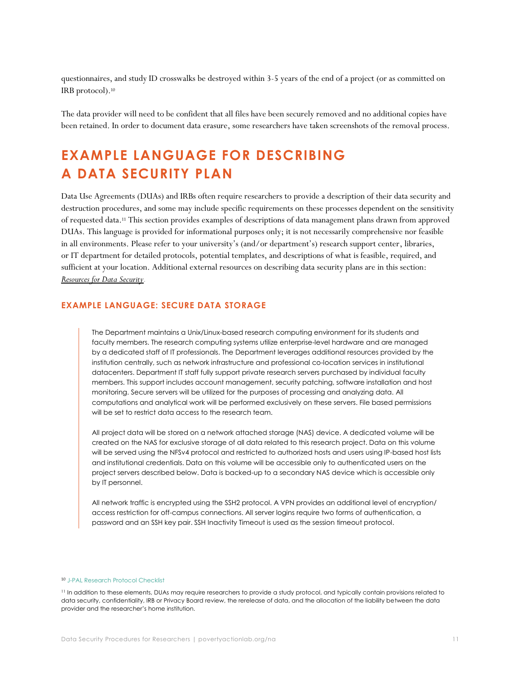questionnaires, and study ID crosswalks be destroyed within 3-5 years of the end of a project (or as committed on IRB protocol).<sup>10</sup>

The data provider will need to be confident that all files have been securely removed and no additional copies have been retained. In order to document data erasure, some researchers have taken screenshots of the removal process.

# <span id="page-10-0"></span>**EXAMPLE LANGUAGE FOR DESCRIBING A DATA SECURITY PLAN**

Data Use Agreements (DUAs) and IRBs often require researchers to provide a description of their data security and destruction procedures, and some may include specific requirements on these processes dependent on the sensitivity of requested data.<sup>11</sup> This section provides examples of descriptions of data management plans drawn from approved DUAs. This language is provided for informational purposes only; it is not necessarily comprehensive nor feasible in all environments. Please refer to your university's (and/or department's) research support center, libraries, or IT department for detailed protocols, potential templates, and descriptions of what is feasible, required, and sufficient at your location. Additional external resources on describing data security plans are in this section: *[Resources for Data Security](#page-12-2).*

### <span id="page-10-1"></span>**EXAMPLE LANGUAGE: SECURE DATA STORAGE**

The Department maintains a Unix/Linux-based research computing environment for its students and faculty members. The research computing systems utilize enterprise-level hardware and are managed by a dedicated staff of IT professionals. The Department leverages additional resources provided by the institution centrally, such as network infrastructure and professional co-location services in institutional datacenters. Department IT staff fully support private research servers purchased by individual faculty members. This support includes account management, security patching, software installation and host monitoring. Secure servers will be utilized for the purposes of processing and analyzing data. All computations and analytical work will be performed exclusively on these servers. File based permissions will be set to restrict data access to the research team.

All project data will be stored on a network attached storage (NAS) device. A dedicated volume will be created on the NAS for exclusive storage of all data related to this research project. Data on this volume will be served using the NFSv4 protocol and restricted to authorized hosts and users using IP-based host lists and institutional credentials. Data on this volume will be accessible only to authenticated users on the project servers described below. Data is backed-up to a secondary NAS device which is accessible only by IT personnel.

All network traffic is encrypted using the SSH2 protocol. A VPN provides an additional level of encryption/ access restriction for off-campus connections. All server logins require two forms of authentication, a password and an SSH key pair. SSH Inactivity Timeout is used as the session timeout protocol.

#### 10 [J-PAL Research Protocol Checklist](https://drive.google.com/file/d/0B97AuBEZpZ9zZDZZbV9abllqSFk/view)

<sup>11</sup> In addition to these elements, DUAs may require researchers to provide a study protocol, and typically contain provisions related to data security, confidentiality, IRB or Privacy Board review, the rerelease of data, and the allocation of the liability between the data provider and the researcher's home institution.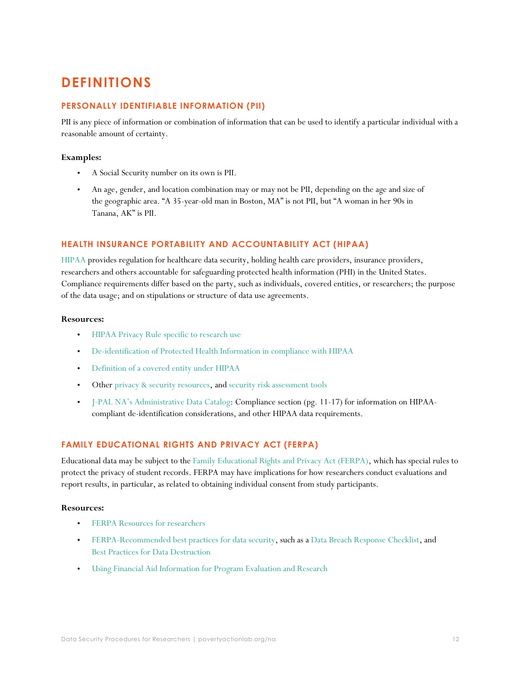# <span id="page-11-0"></span>**DEFINITIONS**

### <span id="page-11-1"></span>**PERSONALLY IDENTIFIABLE INFORMATION (PII)**

PII is any piece of information or combination of information that can be used to identify a particular individual with a reasonable amount of certainty.

### **Examples:**

- A Social Security number on its own is PII.
- An age, gender, and location combination may or may not be PII, depending on the age and size of the geographic area. "A 35-year-old man in Boston, MA" is not PII, but "A woman in her 90s in Tanana, AK" is PII.

### <span id="page-11-2"></span>**HEALTH INSURANCE PORTABILITY AND ACCOUNTABILITY ACT (HIPAA)**

[HIPAA](https://www.hhs.gov/hipaa/index.html) provides regulation for healthcare data security, holding health care providers, insurance providers, researchers and others accountable for safeguarding protected health information (PHI) in the United States. Compliance requirements differ based on the party, such as individuals, covered entities, or researchers; the purpose of the data usage; and on stipulations or structure of data use agreements.

### **Resources:**

- [HIPAA Privacy Rule specific to research use](https://www.hhs.gov/hipaa/for-professionals/special-topics/research/index.html)
- [De-identification of Protected Health Information in compliance with HIPAA](https://www.hhs.gov/hipaa/for-professionals/privacy/special-topics/de-identification/index.html)
- [Definition of a covered entity under HIPAA](https://www.hhs.gov/hipaa/for-professionals/covered-entities/index.html)
- Other [privacy & security resources,](https://www.healthit.gov/topic/privacy-security-and-hipaa/health-it-privacy-and-security-resources-providers) and [security risk assessment tools](https://www.healthit.gov/topic/privacy-security-and-hipaa/security-risk-assessment)
- J-[PAL NA's Administrative Data Catalog](https://www.povertyactionlab.org/admindataguide): Compliance section (pg. 11-17) for information on HIPAAcompliant de-identification considerations, and other HIPAA data requirements.

### <span id="page-11-3"></span>**FAMILY EDUCATIONAL RIGHTS AND PRIVACY ACT (FERPA)**

Educational data may be subject to th[e Family Educational Rights and Privacy Act \(FERPA\),](https://studentprivacy.ed.gov/faq/what-ferpa) which has special rules to protect the privacy of student records. FERPA may have implications for how researchers conduct evaluations and report results, in particular, as related to obtaining individual consent from study participants.

### **Resources:**

- [FERPA Resources for researchers](https://studentprivacy.ed.gov/audience/researchers)
- [FERPA-Recommended best practices for data security,](https://studentprivacy.ed.gov/topic/security-best-practices) such as [a Data Breach Response Checklist,](https://studentprivacy.ed.gov/resources/data-breach-response-checklist) and [Best Practices for Data Destruction](https://studentprivacy.ed.gov/resources/best-practices-data-destruction)
- [Using Financial Aid Information for Program Evaluation and Research](https://studentprivacy.ed.gov/resources/guidance-use-financial-aid-information-program-evaluation-and-research)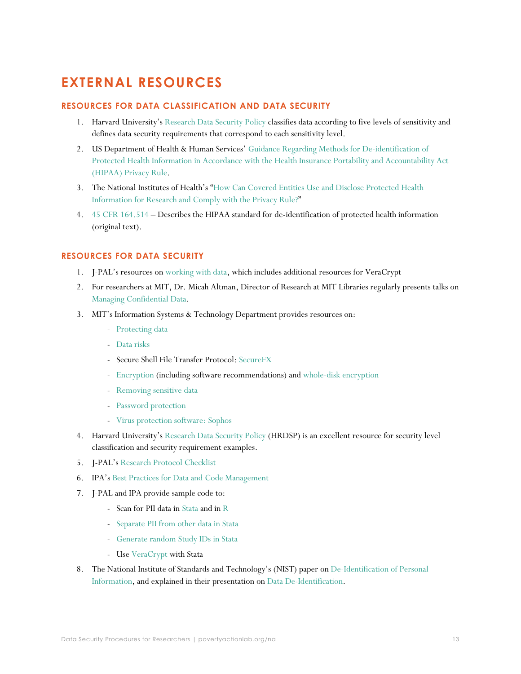# <span id="page-12-0"></span>**EXTERNAL RESOURCES**

### <span id="page-12-1"></span>**RESOURCES FOR DATA CLASSIFICATION AND DATA SECURITY**

- 1. Harvard University's [Research Data Security Policy](http://vpr.harvard.edu/pages/harvard-research-data-security-policy) classifies data according to five levels of sensitivity and defines data security requirements that correspond to each sensitivity level.
- 2. US Department of Health & Human Services' [Guidance Regarding Methods for De-identification of](http://www.hhs.gov/ocr/privacy/hipaa/understanding/coveredentities/De-identification/guidance.html)  [Protected Health Information in Accordance with the Health Insurance Portability and Accountability Act](http://www.hhs.gov/ocr/privacy/hipaa/understanding/coveredentities/De-identification/guidance.html)  [\(HIPAA\) Privacy Rule.](http://www.hhs.gov/ocr/privacy/hipaa/understanding/coveredentities/De-identification/guidance.html)
- 3. The National Institutes of Health's "[How Can Covered Entities Use and Disclose Protected Health](http://privacyruleandresearch.nih.gov/pr_08.asp)  [Information for Research and Comply with the Privacy Rule?](http://privacyruleandresearch.nih.gov/pr_08.asp)"
- 4. [45 CFR 164.514](https://www.law.cornell.edu/cfr/text/45/164.514) Describes the HIPAA standard for de-identification of protected health information (original text).

### <span id="page-12-2"></span>**RESOURCES FOR DATA SECURITY**

- 1. J-PAL's resources on [working with data,](https://www.povertyactionlab.org/research-resources/working-with-data) which includes additional resources for VeraCrypt
- 2. For researchers at MIT, Dr. Micah Altman, Director of Research at MIT Libraries regularly presents talks on [Managing Confidential Data.](http://www.slideshare.net/drmaltman/altman-confidentialdata-v22mit)
- 3. MIT's Information Systems & Technology Department provides resources on:
	- [Protecting data](https://ist.mit.edu/security/protecting_data)
	- [Data risks](https://ist.mit.edu/security/data_risks)
	- Secure Shell File Transfer Protocol: [SecureFX](http://kb.mit.edu/confluence/display/istcontrib/SecureFX++at+MIT+-+Quick+Start+Guide)
	- [Encryption](http://kb.mit.edu/confluence/x/HZIBCQ) (including software recommendations) and [whole-disk encryption](http://kb.mit.edu/confluence/x/g4Vh)
	- [Removing sensitive data](http://kb.mit.edu/confluence/display/istcontrib/Removing+Sensitive+Data)
	- [Password protection](https://ist.mit.edu/about/policies/passwords)
	- [Virus protection software: Sophos](http://kb.mit.edu/confluence/display/istcontrib/Virus+Protection+at+MIT+-+Virus+Protection+Tips)
- 4. Harvard University's Research [Data Security Policy](http://vpr.harvard.edu/pages/harvard-research-data-security-policy) (HRDSP) is an excellent resource for security level classification and security requirement examples.
- 5. J-PAL's [Research Protocol Checklist](https://drive.google.com/file/d/0B97AuBEZpZ9zZDZZbV9abllqSFk/view)
- 6. IPA's [Best Practices for Data and Code Management](https://www.poverty-action.org/sites/default/files/publications/IPA%27s%20Best%20Practices%20for%20Data%20and%20Code%20Management_Nov2015.pdf)
- 7. J-PAL and IPA provide sample code to:
	- Scan for PII data in [Stata](https://github.com/J-PAL/stata_PII_scan) and in [R](https://github.com/J-PAL/PII-Scan)
	- [Separate PII from other data in Stata](https://github.com/PovertyAction/split_pii)
	- [Generate random Study IDs in Stata](https://www.povertyactionlab.org/file/simple-guide-randomization-statazip)
	- Use [VeraCrypt](https://github.com/J-PAL/VeraCrypt) with Stata
- 8. The National Institute of Standards and Technology's (NIST) paper on [De-Identification of Personal](https://nvlpubs.nist.gov/nistpubs/ir/2015/NIST.IR.8053.pdf)  [Information,](https://nvlpubs.nist.gov/nistpubs/ir/2015/NIST.IR.8053.pdf) and explained in their presentation on [Data De-Identification.](https://osf.io/mcufg/)